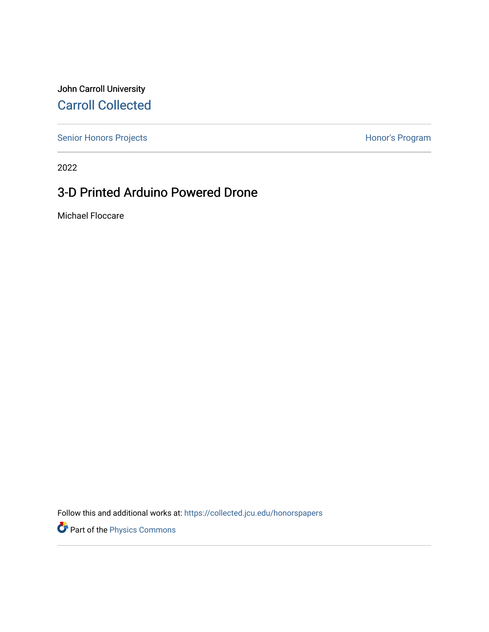John Carroll University [Carroll Collected](https://collected.jcu.edu/) 

[Senior Honors Projects](https://collected.jcu.edu/honorspapers) **Honor's Program** 

2022

# 3-D Printed Arduino Powered Drone

Michael Floccare

Follow this and additional works at: [https://collected.jcu.edu/honorspapers](https://collected.jcu.edu/honorspapers?utm_source=collected.jcu.edu%2Fhonorspapers%2F143&utm_medium=PDF&utm_campaign=PDFCoverPages)

Part of the [Physics Commons](https://network.bepress.com/hgg/discipline/193?utm_source=collected.jcu.edu%2Fhonorspapers%2F143&utm_medium=PDF&utm_campaign=PDFCoverPages)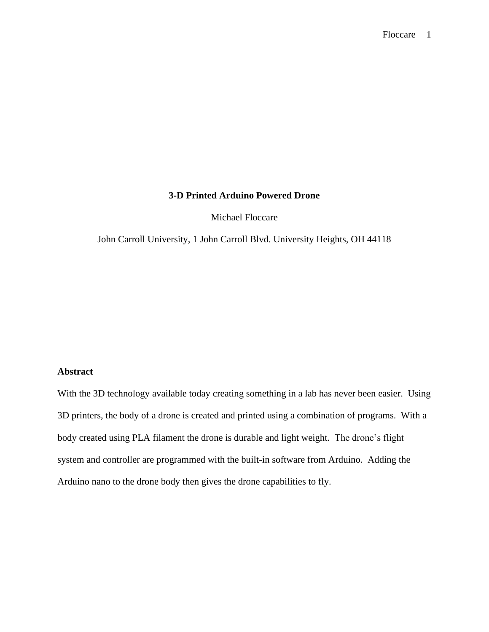# **3-D Printed Arduino Powered Drone**

Michael Floccare

John Carroll University, 1 John Carroll Blvd. University Heights, OH 44118

# **Abstract**

With the 3D technology available today creating something in a lab has never been easier. Using 3D printers, the body of a drone is created and printed using a combination of programs. With a body created using PLA filament the drone is durable and light weight. The drone's flight system and controller are programmed with the built-in software from Arduino. Adding the Arduino nano to the drone body then gives the drone capabilities to fly.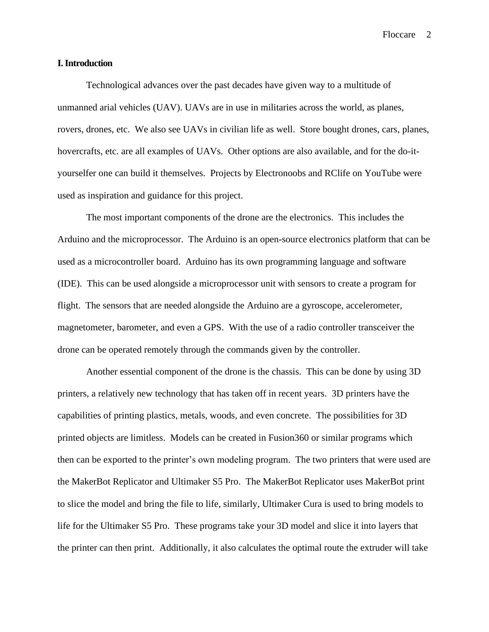## **I. Introduction**

Technological advances over the past decades have given way to a multitude of unmanned arial vehicles (UAV). UAVs are in use in militaries across the world, as planes, rovers, drones, etc. We also see UAVs in civilian life as well. Store bought drones, cars, planes, hovercrafts, etc. are all examples of UAVs. Other options are also available, and for the do-ityourselfer one can build it themselves. Projects by Electronoobs and RClife on YouTube were used as inspiration and guidance for this project.

The most important components of the drone are the electronics. This includes the Arduino and the microprocessor. The Arduino is an open-source electronics platform that can be used as a microcontroller board. Arduino has its own programming language and software (IDE). This can be used alongside a microprocessor unit with sensors to create a program for flight. The sensors that are needed alongside the Arduino are a gyroscope, accelerometer, magnetometer, barometer, and even a GPS. With the use of a radio controller transceiver the drone can be operated remotely through the commands given by the controller.

Another essential component of the drone is the chassis. This can be done by using 3D printers, a relatively new technology that has taken off in recent years. 3D printers have the capabilities of printing plastics, metals, woods, and even concrete. The possibilities for 3D printed objects are limitless. Models can be created in Fusion360 or similar programs which then can be exported to the printer's own modeling program. The two printers that were used are the MakerBot Replicator and Ultimaker S5 Pro. The MakerBot Replicator uses MakerBot print to slice the model and bring the file to life, similarly, Ultimaker Cura is used to bring models to life for the Ultimaker S5 Pro. These programs take your 3D model and slice it into layers that the printer can then print. Additionally, it also calculates the optimal route the extruder will take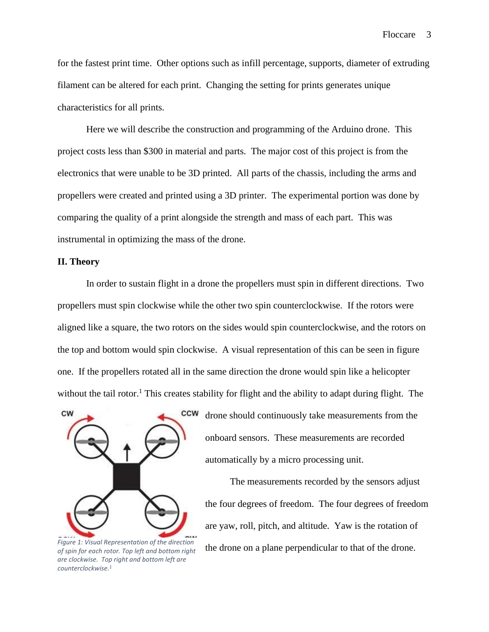for the fastest print time. Other options such as infill percentage, supports, diameter of extruding filament can be altered for each print. Changing the setting for prints generates unique characteristics for all prints.

Here we will describe the construction and programming of the Arduino drone. This project costs less than \$300 in material and parts. The major cost of this project is from the electronics that were unable to be 3D printed. All parts of the chassis, including the arms and propellers were created and printed using a 3D printer. The experimental portion was done by comparing the quality of a print alongside the strength and mass of each part. This was instrumental in optimizing the mass of the drone.

# **II. Theory**

In order to sustain flight in a drone the propellers must spin in different directions. Two propellers must spin clockwise while the other two spin counterclockwise. If the rotors were aligned like a square, the two rotors on the sides would spin counterclockwise, and the rotors on the top and bottom would spin clockwise. A visual representation of this can be seen in figure one. If the propellers rotated all in the same direction the drone would spin like a helicopter without the tail rotor.<sup>1</sup> This creates stability for flight and the ability to adapt during flight. The



*of spin for each rotor. Top left and bottom right are clockwise. Top right and bottom left are counterclockwise. 1*

drone should continuously take measurements from the onboard sensors. These measurements are recorded automatically by a micro processing unit.

The measurements recorded by the sensors adjust the four degrees of freedom. The four degrees of freedom are yaw, roll, pitch, and altitude. Yaw is the rotation of Figure 1: Visual Representation of the direction<br>of snin for each rotor. Top left and bottom right **the drone on a plane perpendicular to that of the drone.**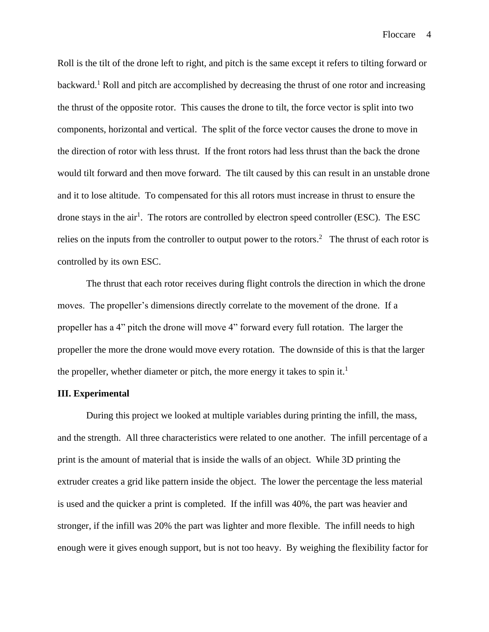Roll is the tilt of the drone left to right, and pitch is the same except it refers to tilting forward or backward.<sup>1</sup> Roll and pitch are accomplished by decreasing the thrust of one rotor and increasing the thrust of the opposite rotor. This causes the drone to tilt, the force vector is split into two components, horizontal and vertical. The split of the force vector causes the drone to move in the direction of rotor with less thrust. If the front rotors had less thrust than the back the drone would tilt forward and then move forward. The tilt caused by this can result in an unstable drone and it to lose altitude. To compensated for this all rotors must increase in thrust to ensure the drone stays in the air<sup>1</sup>. The rotors are controlled by electron speed controller (ESC). The ESC relies on the inputs from the controller to output power to the rotors.<sup>2</sup> The thrust of each rotor is controlled by its own ESC.

The thrust that each rotor receives during flight controls the direction in which the drone moves. The propeller's dimensions directly correlate to the movement of the drone. If a propeller has a 4" pitch the drone will move 4" forward every full rotation. The larger the propeller the more the drone would move every rotation. The downside of this is that the larger the propeller, whether diameter or pitch, the more energy it takes to spin it.<sup>1</sup>

# **III. Experimental**

During this project we looked at multiple variables during printing the infill, the mass, and the strength. All three characteristics were related to one another. The infill percentage of a print is the amount of material that is inside the walls of an object. While 3D printing the extruder creates a grid like pattern inside the object. The lower the percentage the less material is used and the quicker a print is completed. If the infill was 40%, the part was heavier and stronger, if the infill was 20% the part was lighter and more flexible. The infill needs to high enough were it gives enough support, but is not too heavy. By weighing the flexibility factor for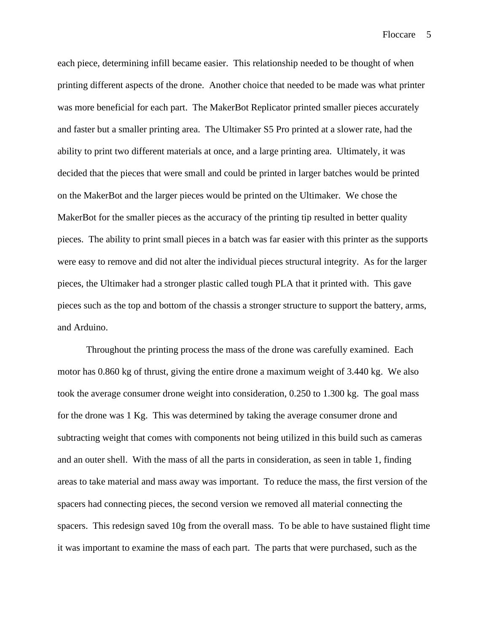each piece, determining infill became easier. This relationship needed to be thought of when printing different aspects of the drone. Another choice that needed to be made was what printer was more beneficial for each part. The MakerBot Replicator printed smaller pieces accurately and faster but a smaller printing area. The Ultimaker S5 Pro printed at a slower rate, had the ability to print two different materials at once, and a large printing area. Ultimately, it was decided that the pieces that were small and could be printed in larger batches would be printed on the MakerBot and the larger pieces would be printed on the Ultimaker. We chose the MakerBot for the smaller pieces as the accuracy of the printing tip resulted in better quality pieces. The ability to print small pieces in a batch was far easier with this printer as the supports were easy to remove and did not alter the individual pieces structural integrity. As for the larger pieces, the Ultimaker had a stronger plastic called tough PLA that it printed with. This gave pieces such as the top and bottom of the chassis a stronger structure to support the battery, arms, and Arduino.

Throughout the printing process the mass of the drone was carefully examined. Each motor has 0.860 kg of thrust, giving the entire drone a maximum weight of 3.440 kg. We also took the average consumer drone weight into consideration, 0.250 to 1.300 kg. The goal mass for the drone was 1 Kg. This was determined by taking the average consumer drone and subtracting weight that comes with components not being utilized in this build such as cameras and an outer shell. With the mass of all the parts in consideration, as seen in table 1, finding areas to take material and mass away was important. To reduce the mass, the first version of the spacers had connecting pieces, the second version we removed all material connecting the spacers. This redesign saved 10g from the overall mass. To be able to have sustained flight time it was important to examine the mass of each part. The parts that were purchased, such as the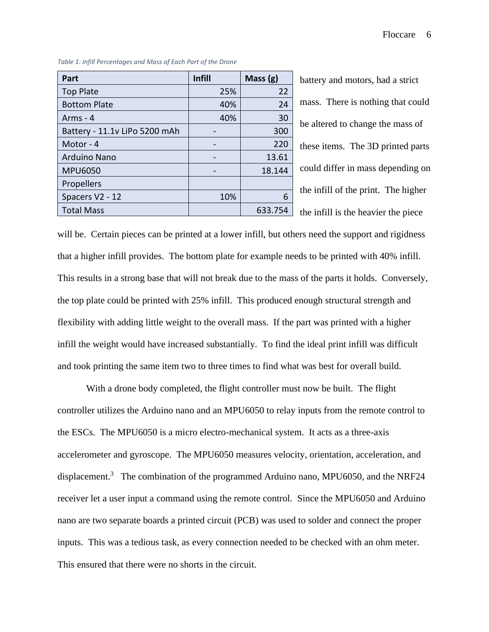| Part                          | <b>Infill</b> | Mass (g) |
|-------------------------------|---------------|----------|
| <b>Top Plate</b>              | 25%           | 22       |
| <b>Bottom Plate</b>           | 40%           | 24       |
| Arms - 4                      | 40%           | 30       |
| Battery - 11.1v LiPo 5200 mAh |               | 300      |
| Motor - 4                     |               | 220      |
| <b>Arduino Nano</b>           |               | 13.61    |
| <b>MPU6050</b>                |               | 18.144   |
| Propellers                    |               |          |
| Spacers V2 - 12               | 10%           | 6        |
| <b>Total Mass</b>             |               | 633.754  |

*Table 1: Infill Percentages and Mass of Each Part of the Drone*

battery and motors, had a strict mass. There is nothing that could be altered to change the mass of these items. The 3D printed parts could differ in mass depending on the infill of the print. The higher the infill is the heavier the piece

will be. Certain pieces can be printed at a lower infill, but others need the support and rigidness that a higher infill provides. The bottom plate for example needs to be printed with 40% infill. This results in a strong base that will not break due to the mass of the parts it holds. Conversely, the top plate could be printed with 25% infill. This produced enough structural strength and flexibility with adding little weight to the overall mass. If the part was printed with a higher infill the weight would have increased substantially. To find the ideal print infill was difficult and took printing the same item two to three times to find what was best for overall build.

With a drone body completed, the flight controller must now be built. The flight controller utilizes the Arduino nano and an MPU6050 to relay inputs from the remote control to the ESCs. The MPU6050 is a micro electro-mechanical system. It acts as a three-axis accelerometer and gyroscope. The MPU6050 measures velocity, orientation, acceleration, and displacement.<sup>3</sup> The combination of the programmed Arduino nano, MPU6050, and the NRF24 receiver let a user input a command using the remote control. Since the MPU6050 and Arduino nano are two separate boards a printed circuit (PCB) was used to solder and connect the proper inputs. This was a tedious task, as every connection needed to be checked with an ohm meter. This ensured that there were no shorts in the circuit.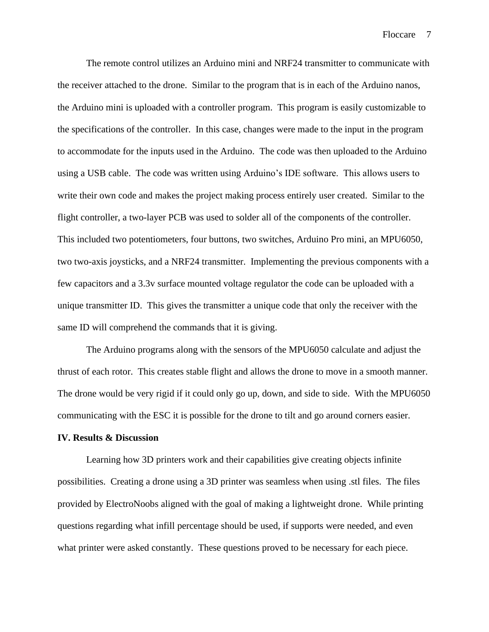The remote control utilizes an Arduino mini and NRF24 transmitter to communicate with the receiver attached to the drone. Similar to the program that is in each of the Arduino nanos, the Arduino mini is uploaded with a controller program. This program is easily customizable to the specifications of the controller. In this case, changes were made to the input in the program to accommodate for the inputs used in the Arduino. The code was then uploaded to the Arduino using a USB cable. The code was written using Arduino's IDE software. This allows users to write their own code and makes the project making process entirely user created. Similar to the flight controller, a two-layer PCB was used to solder all of the components of the controller. This included two potentiometers, four buttons, two switches, Arduino Pro mini, an MPU6050, two two-axis joysticks, and a NRF24 transmitter. Implementing the previous components with a few capacitors and a 3.3v surface mounted voltage regulator the code can be uploaded with a unique transmitter ID. This gives the transmitter a unique code that only the receiver with the same ID will comprehend the commands that it is giving.

The Arduino programs along with the sensors of the MPU6050 calculate and adjust the thrust of each rotor. This creates stable flight and allows the drone to move in a smooth manner. The drone would be very rigid if it could only go up, down, and side to side. With the MPU6050 communicating with the ESC it is possible for the drone to tilt and go around corners easier.

## **IV. Results & Discussion**

Learning how 3D printers work and their capabilities give creating objects infinite possibilities. Creating a drone using a 3D printer was seamless when using .stl files. The files provided by ElectroNoobs aligned with the goal of making a lightweight drone. While printing questions regarding what infill percentage should be used, if supports were needed, and even what printer were asked constantly. These questions proved to be necessary for each piece.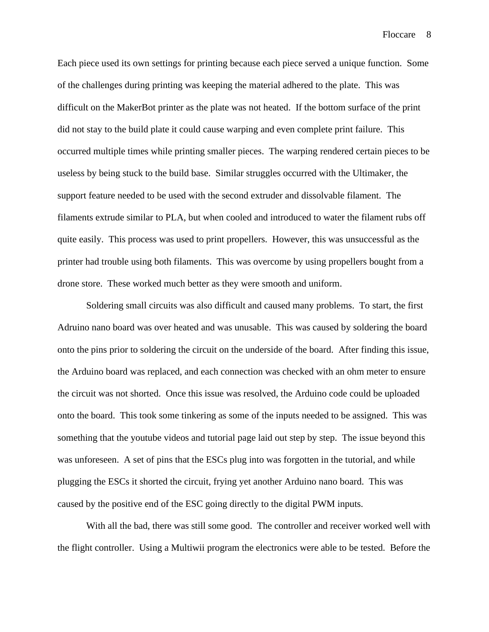Each piece used its own settings for printing because each piece served a unique function. Some of the challenges during printing was keeping the material adhered to the plate. This was difficult on the MakerBot printer as the plate was not heated. If the bottom surface of the print did not stay to the build plate it could cause warping and even complete print failure. This occurred multiple times while printing smaller pieces. The warping rendered certain pieces to be useless by being stuck to the build base. Similar struggles occurred with the Ultimaker, the support feature needed to be used with the second extruder and dissolvable filament. The filaments extrude similar to PLA, but when cooled and introduced to water the filament rubs off quite easily. This process was used to print propellers. However, this was unsuccessful as the printer had trouble using both filaments. This was overcome by using propellers bought from a drone store. These worked much better as they were smooth and uniform.

Soldering small circuits was also difficult and caused many problems. To start, the first Adruino nano board was over heated and was unusable. This was caused by soldering the board onto the pins prior to soldering the circuit on the underside of the board. After finding this issue, the Arduino board was replaced, and each connection was checked with an ohm meter to ensure the circuit was not shorted. Once this issue was resolved, the Arduino code could be uploaded onto the board. This took some tinkering as some of the inputs needed to be assigned. This was something that the youtube videos and tutorial page laid out step by step. The issue beyond this was unforeseen. A set of pins that the ESCs plug into was forgotten in the tutorial, and while plugging the ESCs it shorted the circuit, frying yet another Arduino nano board. This was caused by the positive end of the ESC going directly to the digital PWM inputs.

With all the bad, there was still some good. The controller and receiver worked well with the flight controller. Using a Multiwii program the electronics were able to be tested. Before the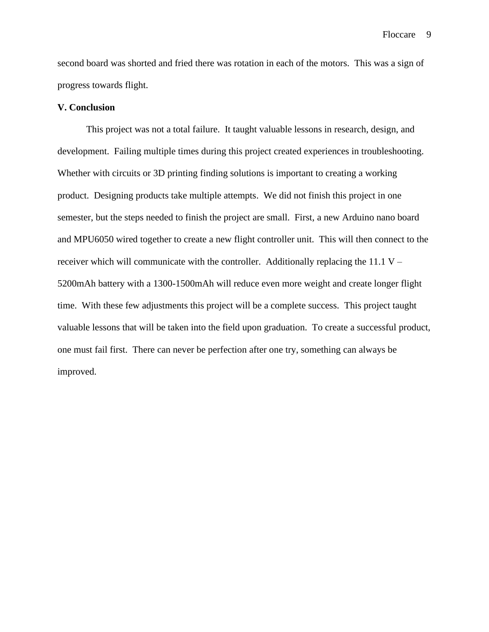second board was shorted and fried there was rotation in each of the motors. This was a sign of progress towards flight.

## **V. Conclusion**

This project was not a total failure. It taught valuable lessons in research, design, and development. Failing multiple times during this project created experiences in troubleshooting. Whether with circuits or 3D printing finding solutions is important to creating a working product. Designing products take multiple attempts. We did not finish this project in one semester, but the steps needed to finish the project are small. First, a new Arduino nano board and MPU6050 wired together to create a new flight controller unit. This will then connect to the receiver which will communicate with the controller. Additionally replacing the 11.1 V – 5200mAh battery with a 1300-1500mAh will reduce even more weight and create longer flight time. With these few adjustments this project will be a complete success. This project taught valuable lessons that will be taken into the field upon graduation. To create a successful product, one must fail first. There can never be perfection after one try, something can always be improved.